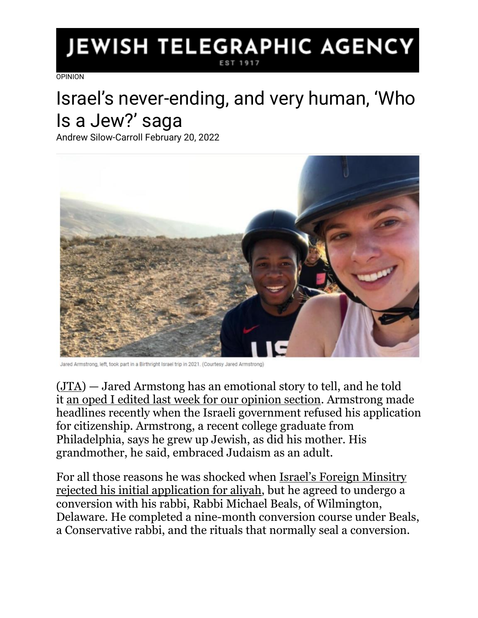## JEWISH TELEGRAPHIC AGENCY **EST 191**

[OPINION](https://www.jta.org/category/opinion)

## Israel's never-ending, and very human, 'Who Is a Jew?' saga

Andrew Silow-Carroll February 20, 2022



```
Armstrong, left, took part in a Birthright Israel trip in 2021. (Courtesy Jared Armstrong)
```
[\(JTA\)](http://www.jta.org/) — Jared Armstong has an emotional story to tell, and he told it [an oped I edited last week for our opinion section.](https://www.jta.org/2022/02/15/opinion/israel-thinks-i-only-want-to-make-aliyah-so-i-can-play-basketball-but-i-just-want-to-come-home) Armstrong made headlines recently when the Israeli government refused his application for citizenship. Armstrong, a recent college graduate from Philadelphia, says he grew up Jewish, as did his mother. His grandmother, he said, embraced Judaism as an adult.

For all those reasons he was shocked when [Israel's Foreign Minsitry](https://www.jta.org/2022/02/10/israel/basketball-player-who-converted-to-judaism-with-a-conservative-rabbi-denied-israeli-citizenship)  [rejected his initial application for aliyah,](https://www.jta.org/2022/02/10/israel/basketball-player-who-converted-to-judaism-with-a-conservative-rabbi-denied-israeli-citizenship) but he agreed to undergo a conversion with his rabbi, Rabbi Michael Beals, of Wilmington, Delaware. He completed a nine-month conversion course under Beals, a Conservative rabbi, and the rituals that normally seal a conversion.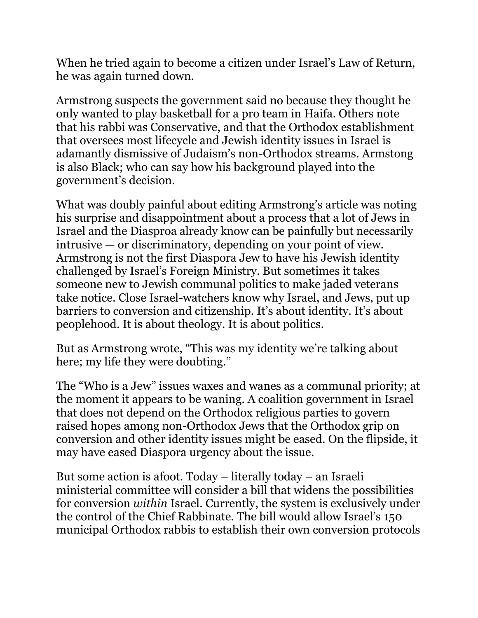When he tried again to become a citizen under Israel's Law of Return, he was again turned down.

Armstrong suspects the government said no because they thought he only wanted to play basketball for a pro team in Haifa. Others note that his rabbi was Conservative, and that the Orthodox establishment that oversees most lifecycle and Jewish identity issues in Israel is adamantly dismissive of Judaism's non-Orthodox streams. Armstong is also Black; who can say how his background played into the government's decision.

What was doubly painful about editing Armstrong's article was noting his surprise and disappointment about a process that a lot of Jews in Israel and the Diasproa already know can be painfully but necessarily intrusive — or discriminatory, depending on your point of view. Armstrong is not the first Diaspora Jew to have his Jewish identity challenged by Israel's Foreign Ministry. But sometimes it takes someone new to Jewish communal politics to make jaded veterans take notice. Close Israel-watchers know why Israel, and Jews, put up barriers to conversion and citizenship. It's about identity. It's about peoplehood. It is about theology. It is about politics.

But as Armstrong wrote, "This was my identity we're talking about here; my life they were doubting."

The "Who is a Jew" issues waxes and wanes as a communal priority; at the moment it appears to be waning. A coalition government in Israel that does not depend on the Orthodox religious parties to govern raised hopes among non-Orthodox Jews that the Orthodox grip on conversion and other identity issues might be eased. On the flipside, it may have eased Diaspora urgency about the issue.

But some action is afoot. Today – literally today – an Israeli ministerial committee will consider a bill that widens the possibilities for conversion *within* Israel. Currently, the system is exclusively under the control of the Chief Rabbinate. The bill would allow Israel's 150 municipal Orthodox rabbis to establish their own conversion protocols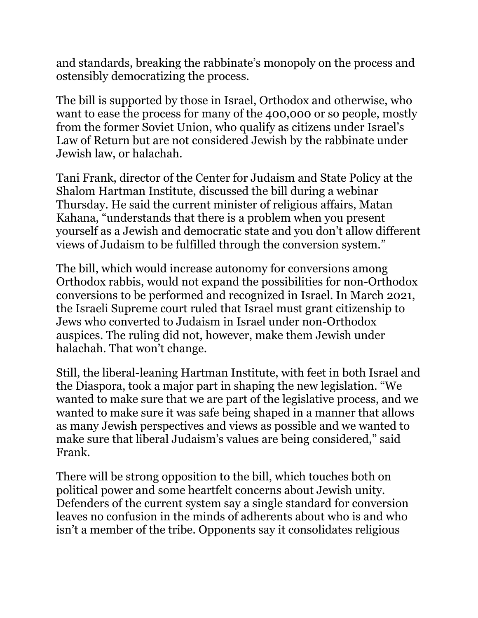and standards, breaking the rabbinate's monopoly on the process and ostensibly democratizing the process.

The bill is supported by those in Israel, Orthodox and otherwise, who want to ease the process for many of the 400,000 or so people, mostly from the former Soviet Union, who qualify as citizens under Israel's Law of Return but are not considered Jewish by the rabbinate under Jewish law, or halachah.

Tani Frank, director of the Center for Judaism and State Policy at the Shalom Hartman Institute, discussed the bill during a webinar Thursday. He said the current minister of religious affairs, Matan Kahana, "understands that there is a problem when you present yourself as a Jewish and democratic state and you don't allow different views of Judaism to be fulfilled through the conversion system."

The bill, which would increase autonomy for conversions among Orthodox rabbis, would not expand the possibilities for non-Orthodox conversions to be performed and recognized in Israel. In March 2021, the Israeli Supreme court ruled that Israel must grant citizenship to Jews who converted to Judaism in Israel under non-Orthodox auspices. The ruling did not, however, make them Jewish under halachah. That won't change.

Still, the liberal-leaning Hartman Institute, with feet in both Israel and the Diaspora, took a major part in shaping the new legislation. "We wanted to make sure that we are part of the legislative process, and we wanted to make sure it was safe being shaped in a manner that allows as many Jewish perspectives and views as possible and we wanted to make sure that liberal Judaism's values are being considered," said Frank.

There will be strong opposition to the bill, which touches both on political power and some heartfelt concerns about Jewish unity. Defenders of the current system say a single standard for conversion leaves no confusion in the minds of adherents about who is and who isn't a member of the tribe. Opponents say it consolidates religious